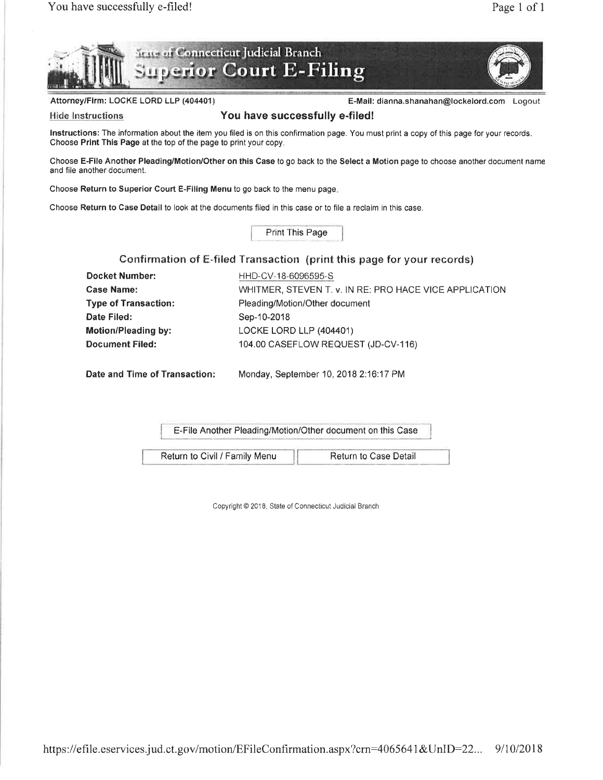# Attorney/Firm: LOCKE LORD LLP (404401) example and the state of E-Mail: dianna.shanahan@lockelord.com Logout

Hide Instructions The Moult have successfully e-filed!

lnstructions: The information about the item you filed is on this confirmation page. You must print a copy of this page for your records, Choose Print This Page at the top of the page to print your copy.

Choose E-File Another Pleading/Motion/Other on this Case to go back to the Select a Motion page to choose another document name and file another document.

Choose Return to Superior Court E-Filing Menu to go back to the menu page.

Choose Return to Case Detail to look at the documents filed in this case or to file a reclaim in this case.

te of Connecticut Judicial Branch

**uperior Court E-Filing** 

Confirmation of E-filed Transaction (print this page for your records)

Print This Page

| <b>Docket Number:</b>       | HHD-CV-18-6096595-S                                    |
|-----------------------------|--------------------------------------------------------|
| <b>Case Name:</b>           | WHITMER, STEVEN T. v. IN RE: PRO HACE VICE APPLICATION |
| <b>Type of Transaction:</b> | Pleading/Motion/Other document                         |
| Date Filed:                 | Sep-10-2018                                            |
| <b>Motion/Pleading by:</b>  | LOCKE LORD LLP (404401)                                |
| <b>Document Filed:</b>      | 104.00 CASEFLOW REQUEST (JD-CV-116)                    |

Date and Time of Transaction: Monday, September 10, 2018 2:16:17 PM

E-File Another Pleading/Motion/Other document on this Case

Return to Civil / Family Menu | Return to Case Detail

Copyright @ 2018, State of Connecticut Judicial Branch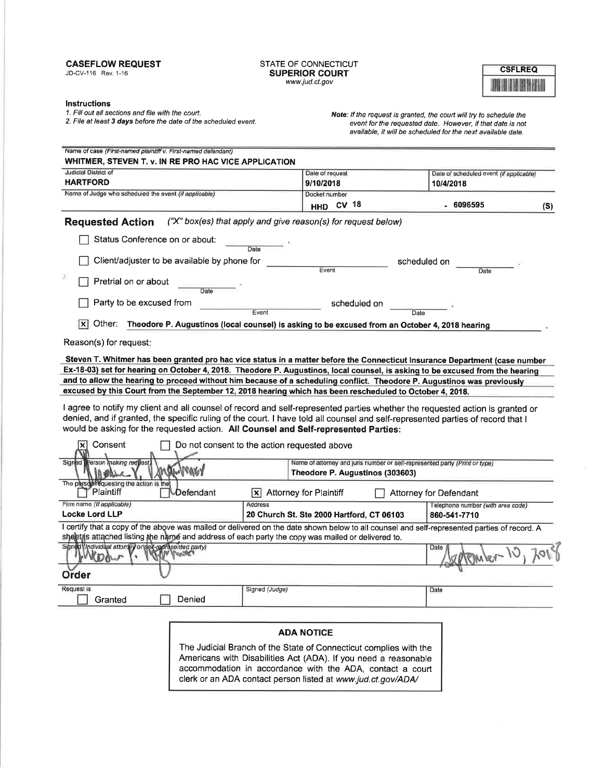## CASEFLOW REQUEST

JD-CV-116 Rov.1-16

#### STATE OF CONNECTICUT **SUPERIOR COURT** www.jud.ct.gov

| <b>CSFLREQ</b> |  |  |  |  |
|----------------|--|--|--|--|
| <b>Jackson</b> |  |  |  |  |

## lnstructions

1. Fill out ail sections and file with the court.

2. File at least 3 days before the date of the scheduled event.

Note: lf the request is granted, the court will try to schedule the event for the requested date. However, if that date is not available, it will be scheduled for the next available date.

| Judicial District of                                                                                                                                                                                                                                                                                                                                                                                                                                                                                                                                                                                                                                                                                                                                                                                                                                                                                               | Date of request                                                                                                              |                                                                             | Date of scheduled event (if applicable) |     |
|--------------------------------------------------------------------------------------------------------------------------------------------------------------------------------------------------------------------------------------------------------------------------------------------------------------------------------------------------------------------------------------------------------------------------------------------------------------------------------------------------------------------------------------------------------------------------------------------------------------------------------------------------------------------------------------------------------------------------------------------------------------------------------------------------------------------------------------------------------------------------------------------------------------------|------------------------------------------------------------------------------------------------------------------------------|-----------------------------------------------------------------------------|-----------------------------------------|-----|
| HARTFORD                                                                                                                                                                                                                                                                                                                                                                                                                                                                                                                                                                                                                                                                                                                                                                                                                                                                                                           | 9/10/2018                                                                                                                    |                                                                             | 10/4/2018                               |     |
| Name of Judge who scheduled the event (if applicable)                                                                                                                                                                                                                                                                                                                                                                                                                                                                                                                                                                                                                                                                                                                                                                                                                                                              | Docket number                                                                                                                |                                                                             |                                         |     |
|                                                                                                                                                                                                                                                                                                                                                                                                                                                                                                                                                                                                                                                                                                                                                                                                                                                                                                                    | HHD.                                                                                                                         | CV 18                                                                       | 6096595                                 | (S) |
| <b>Requested Action</b>                                                                                                                                                                                                                                                                                                                                                                                                                                                                                                                                                                                                                                                                                                                                                                                                                                                                                            | ("X" box(es) that apply and give reason(s) for request below)                                                                |                                                                             |                                         |     |
| Status Conference on or about:                                                                                                                                                                                                                                                                                                                                                                                                                                                                                                                                                                                                                                                                                                                                                                                                                                                                                     | Date                                                                                                                         |                                                                             |                                         |     |
| Client/adjuster to be available by phone for                                                                                                                                                                                                                                                                                                                                                                                                                                                                                                                                                                                                                                                                                                                                                                                                                                                                       |                                                                                                                              | scheduled on                                                                |                                         |     |
| Pretrial on or about                                                                                                                                                                                                                                                                                                                                                                                                                                                                                                                                                                                                                                                                                                                                                                                                                                                                                               | Event                                                                                                                        |                                                                             | Date                                    |     |
| Date                                                                                                                                                                                                                                                                                                                                                                                                                                                                                                                                                                                                                                                                                                                                                                                                                                                                                                               |                                                                                                                              |                                                                             |                                         |     |
| Party to be excused from                                                                                                                                                                                                                                                                                                                                                                                                                                                                                                                                                                                                                                                                                                                                                                                                                                                                                           | Event                                                                                                                        | scheduled on<br>Date                                                        |                                         |     |
| Other:<br>IXI                                                                                                                                                                                                                                                                                                                                                                                                                                                                                                                                                                                                                                                                                                                                                                                                                                                                                                      | Theodore P. Augustinos (local counsel) is asking to be excused from an October 4, 2018 hearing                               |                                                                             |                                         |     |
| Reason(s) for request:                                                                                                                                                                                                                                                                                                                                                                                                                                                                                                                                                                                                                                                                                                                                                                                                                                                                                             |                                                                                                                              |                                                                             |                                         |     |
|                                                                                                                                                                                                                                                                                                                                                                                                                                                                                                                                                                                                                                                                                                                                                                                                                                                                                                                    |                                                                                                                              |                                                                             |                                         |     |
| Steven T. Whitmer has been granted pro hac vice status in a matter before the Connecticut Insurance Department (case number                                                                                                                                                                                                                                                                                                                                                                                                                                                                                                                                                                                                                                                                                                                                                                                        |                                                                                                                              |                                                                             |                                         |     |
| Ex-18-03) set for hearing on October 4, 2018. Theodore P. Augustinos, local counsel, is asking to be excused from the hearing<br>and to allow the hearing to proceed without him because of a scheduling conflict. Theodore P. Augustinos was previously                                                                                                                                                                                                                                                                                                                                                                                                                                                                                                                                                                                                                                                           |                                                                                                                              |                                                                             |                                         |     |
|                                                                                                                                                                                                                                                                                                                                                                                                                                                                                                                                                                                                                                                                                                                                                                                                                                                                                                                    |                                                                                                                              |                                                                             |                                         |     |
|                                                                                                                                                                                                                                                                                                                                                                                                                                                                                                                                                                                                                                                                                                                                                                                                                                                                                                                    |                                                                                                                              |                                                                             |                                         |     |
|                                                                                                                                                                                                                                                                                                                                                                                                                                                                                                                                                                                                                                                                                                                                                                                                                                                                                                                    |                                                                                                                              |                                                                             |                                         |     |
|                                                                                                                                                                                                                                                                                                                                                                                                                                                                                                                                                                                                                                                                                                                                                                                                                                                                                                                    |                                                                                                                              |                                                                             |                                         |     |
|                                                                                                                                                                                                                                                                                                                                                                                                                                                                                                                                                                                                                                                                                                                                                                                                                                                                                                                    |                                                                                                                              |                                                                             |                                         |     |
| Consent                                                                                                                                                                                                                                                                                                                                                                                                                                                                                                                                                                                                                                                                                                                                                                                                                                                                                                            |                                                                                                                              |                                                                             |                                         |     |
|                                                                                                                                                                                                                                                                                                                                                                                                                                                                                                                                                                                                                                                                                                                                                                                                                                                                                                                    | Do not consent to the action requested above                                                                                 |                                                                             |                                         |     |
| Person making request<br>・パムかんろ                                                                                                                                                                                                                                                                                                                                                                                                                                                                                                                                                                                                                                                                                                                                                                                                                                                                                    |                                                                                                                              | Name of attorney and juris number or self-represented party (Print or type) |                                         |     |
|                                                                                                                                                                                                                                                                                                                                                                                                                                                                                                                                                                                                                                                                                                                                                                                                                                                                                                                    |                                                                                                                              | Theodore P. Augustinos (303603)                                             |                                         |     |
| Plaintiff<br>Defendant                                                                                                                                                                                                                                                                                                                                                                                                                                                                                                                                                                                                                                                                                                                                                                                                                                                                                             | <b>Attorney for Plaintiff</b><br>l×l                                                                                         |                                                                             | <b>Attorney for Defendant</b>           |     |
|                                                                                                                                                                                                                                                                                                                                                                                                                                                                                                                                                                                                                                                                                                                                                                                                                                                                                                                    | Address                                                                                                                      |                                                                             | Telephone number (with area code)       |     |
|                                                                                                                                                                                                                                                                                                                                                                                                                                                                                                                                                                                                                                                                                                                                                                                                                                                                                                                    | 20 Church St. Ste 2000 Hartford, CT 06103                                                                                    |                                                                             | 860-541-7710                            |     |
|                                                                                                                                                                                                                                                                                                                                                                                                                                                                                                                                                                                                                                                                                                                                                                                                                                                                                                                    |                                                                                                                              |                                                                             |                                         |     |
|                                                                                                                                                                                                                                                                                                                                                                                                                                                                                                                                                                                                                                                                                                                                                                                                                                                                                                                    |                                                                                                                              |                                                                             | Date                                    |     |
| Robins                                                                                                                                                                                                                                                                                                                                                                                                                                                                                                                                                                                                                                                                                                                                                                                                                                                                                                             |                                                                                                                              |                                                                             |                                         |     |
|                                                                                                                                                                                                                                                                                                                                                                                                                                                                                                                                                                                                                                                                                                                                                                                                                                                                                                                    |                                                                                                                              |                                                                             |                                         |     |
|                                                                                                                                                                                                                                                                                                                                                                                                                                                                                                                                                                                                                                                                                                                                                                                                                                                                                                                    | Signed (Judge)                                                                                                               |                                                                             | Date                                    |     |
| Denied<br>Granted                                                                                                                                                                                                                                                                                                                                                                                                                                                                                                                                                                                                                                                                                                                                                                                                                                                                                                  |                                                                                                                              |                                                                             |                                         |     |
|                                                                                                                                                                                                                                                                                                                                                                                                                                                                                                                                                                                                                                                                                                                                                                                                                                                                                                                    |                                                                                                                              |                                                                             |                                         |     |
|                                                                                                                                                                                                                                                                                                                                                                                                                                                                                                                                                                                                                                                                                                                                                                                                                                                                                                                    |                                                                                                                              |                                                                             |                                         |     |
|                                                                                                                                                                                                                                                                                                                                                                                                                                                                                                                                                                                                                                                                                                                                                                                                                                                                                                                    | <b>ADA NOTICE</b>                                                                                                            |                                                                             |                                         |     |
| excused by this Court from the September 12, 2018 hearing which has been rescheduled to October 4, 2018.<br>I agree to notify my client and all counsel of record and self-represented parties whether the requested action is granted or<br>denied, and if granted, the specific ruling of the court. I have told all counsel and self-represented parties of record that I<br>would be asking for the requested action. All Counsel and Self-represented Parties:<br>Signed<br>The parsophequesting the action is the<br>Firm name (If applicable)<br><b>Locke Lord LLP</b><br>I certify that a copy of the above was mailed or delivered on the date shown below to all counsel and self-represented parties of record. A<br>sheet/is attached listing the name and address of each party the copy was mailed or delivered to.<br>Signed (Individual attorney or self-represented party)<br>Order<br>Request is | The Judicial Branch of the State of Connecticut complies with the                                                            |                                                                             |                                         |     |
|                                                                                                                                                                                                                                                                                                                                                                                                                                                                                                                                                                                                                                                                                                                                                                                                                                                                                                                    | Americans with Disabilities Act (ADA). If you need a reasonable<br>accommodation in accordance with the ADA, contact a court |                                                                             |                                         |     |